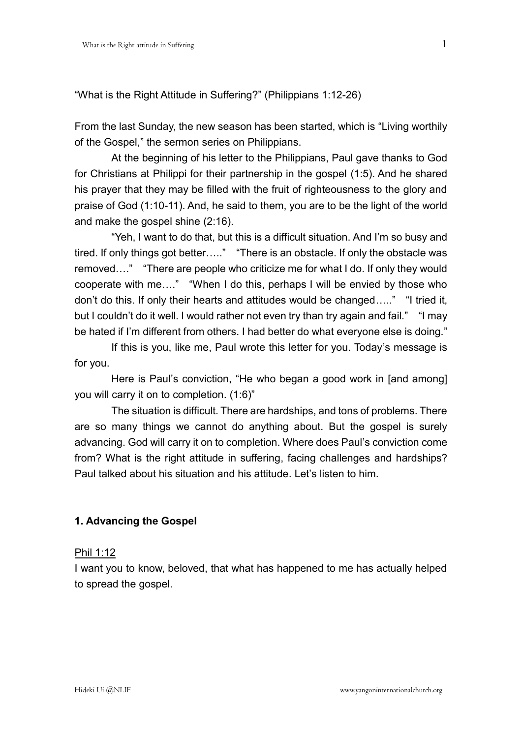"What is the Right Attitude in Suffering?" (Philippians 1:12-26)

From the last Sunday, the new season has been started, which is "Living worthily of the Gospel," the sermon series on Philippians.

At the beginning of his letter to the Philippians, Paul gave thanks to God for Christians at Philippi for their partnership in the gospel (1:5). And he shared his prayer that they may be filled with the fruit of righteousness to the glory and praise of God (1:10-11). And, he said to them, you are to be the light of the world and make the gospel shine (2:16).

"Yeh, I want to do that, but this is a difficult situation. And I'm so busy and tired. If only things got better….." "There is an obstacle. If only the obstacle was removed…." "There are people who criticize me for what I do. If only they would cooperate with me…." "When I do this, perhaps I will be envied by those who don't do this. If only their hearts and attitudes would be changed….." "I tried it, but I couldn't do it well. I would rather not even try than try again and fail." "I may be hated if I'm different from others. I had better do what everyone else is doing."

If this is you, like me, Paul wrote this letter for you. Today's message is for you.

Here is Paul's conviction, "He who began a good work in [and among] you will carry it on to completion. (1:6)"

The situation is difficult. There are hardships, and tons of problems. There are so many things we cannot do anything about. But the gospel is surely advancing. God will carry it on to completion. Where does Paul's conviction come from? What is the right attitude in suffering, facing challenges and hardships? Paul talked about his situation and his attitude. Let's listen to him.

# **1. Advancing the Gospel**

### Phil 1:12

I want you to know, beloved, that what has happened to me has actually helped to spread the gospel.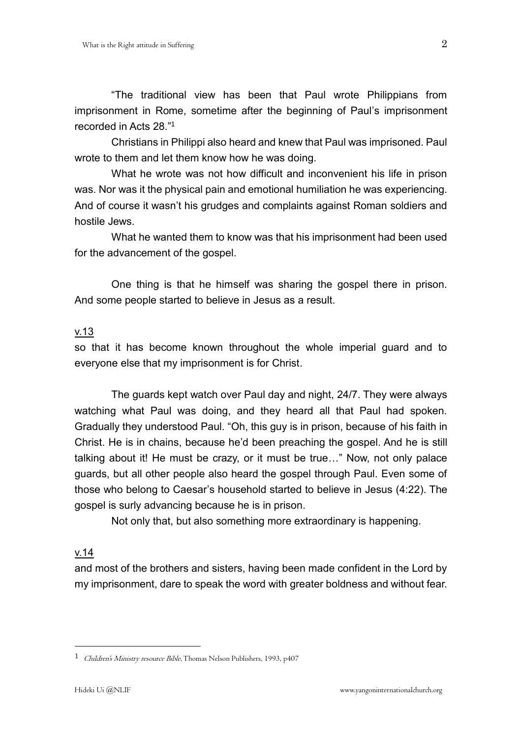"The traditional view has been that Paul wrote Philippians from imprisonment in Rome, sometime after the beginning of Paul's imprisonment recorded in Acts 28." 1

Christians in Philippi also heard and knew that Paul was imprisoned. Paul wrote to them and let them know how he was doing.

What he wrote was not how difficult and inconvenient his life in prison was. Nor was it the physical pain and emotional humiliation he was experiencing. And of course it wasn't his grudges and complaints against Roman soldiers and hostile Jews.

What he wanted them to know was that his imprisonment had been used for the advancement of the gospel.

One thing is that he himself was sharing the gospel there in prison. And some people started to believe in Jesus as a result.

## v.13

so that it has become known throughout the whole imperial guard and to everyone else that my imprisonment is for Christ.

The guards kept watch over Paul day and night, 24/7. They were always watching what Paul was doing, and they heard all that Paul had spoken. Gradually they understood Paul. "Oh, this guy is in prison, because of his faith in Christ. He is in chains, because he'd been preaching the gospel. And he is still talking about it! He must be crazy, or it must be true…" Now, not only palace guards, but all other people also heard the gospel through Paul. Even some of those who belong to Caesar's household started to believe in Jesus (4:22). The gospel is surly advancing because he is in prison.

Not only that, but also something more extraordinary is happening.

# v.14

1

and most of the brothers and sisters, having been made confident in the Lord by my imprisonment, dare to speak the word with greater boldness and without fear.

<sup>1</sup> Children's Ministry resource Bible, Thomas Nelson Publishers, 1993, p407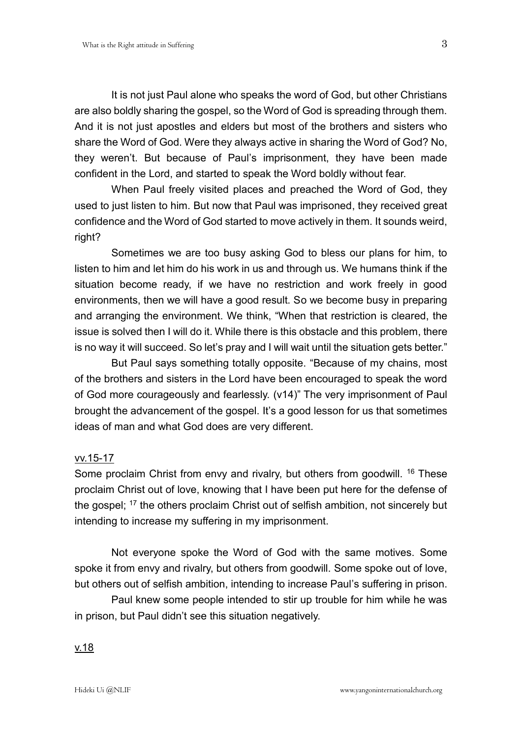It is not just Paul alone who speaks the word of God, but other Christians are also boldly sharing the gospel, so the Word of God is spreading through them. And it is not just apostles and elders but most of the brothers and sisters who share the Word of God. Were they always active in sharing the Word of God? No, they weren't. But because of Paul's imprisonment, they have been made confident in the Lord, and started to speak the Word boldly without fear.

When Paul freely visited places and preached the Word of God, they used to just listen to him. But now that Paul was imprisoned, they received great confidence and the Word of God started to move actively in them. It sounds weird, right?

Sometimes we are too busy asking God to bless our plans for him, to listen to him and let him do his work in us and through us. We humans think if the situation become ready, if we have no restriction and work freely in good environments, then we will have a good result. So we become busy in preparing and arranging the environment. We think, "When that restriction is cleared, the issue is solved then I will do it. While there is this obstacle and this problem, there is no way it will succeed. So let's pray and I will wait until the situation gets better."

But Paul says something totally opposite. "Because of my chains, most of the brothers and sisters in the Lord have been encouraged to speak the word of God more courageously and fearlessly. (v14)" The very imprisonment of Paul brought the advancement of the gospel. It's a good lesson for us that sometimes ideas of man and what God does are very different.

### vv.15-17

Some proclaim Christ from envy and rivalry, but others from goodwill. <sup>16</sup> These proclaim Christ out of love, knowing that I have been put here for the defense of the gospel: <sup>17</sup> the others proclaim Christ out of selfish ambition, not sincerely but intending to increase my suffering in my imprisonment.

Not everyone spoke the Word of God with the same motives. Some spoke it from envy and rivalry, but others from goodwill. Some spoke out of love, but others out of selfish ambition, intending to increase Paul's suffering in prison.

Paul knew some people intended to stir up trouble for him while he was in prison, but Paul didn't see this situation negatively.

# v.18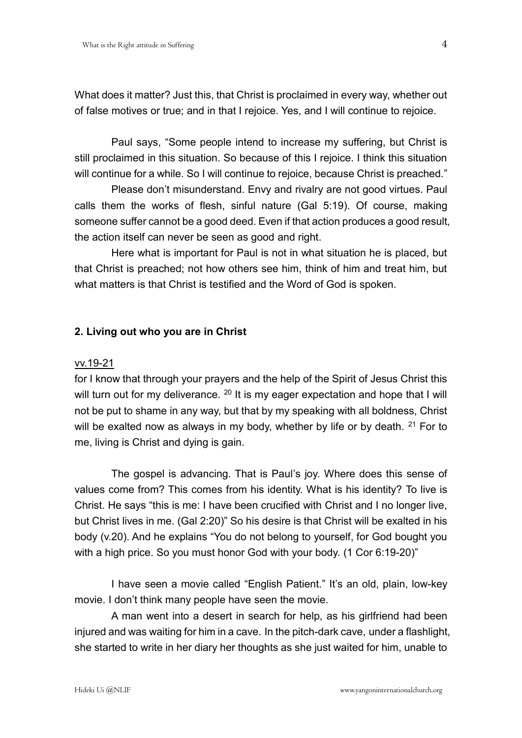What does it matter? Just this, that Christ is proclaimed in every way, whether out of false motives or true; and in that I rejoice. Yes, and I will continue to rejoice.

Paul says, "Some people intend to increase my suffering, but Christ is still proclaimed in this situation. So because of this I rejoice. I think this situation will continue for a while. So I will continue to rejoice, because Christ is preached."

Please don't misunderstand. Envy and rivalry are not good virtues. Paul calls them the works of flesh, sinful nature (Gal 5:19). Of course, making someone suffer cannot be a good deed. Even if that action produces a good result, the action itself can never be seen as good and right.

Here what is important for Paul is not in what situation he is placed, but that Christ is preached; not how others see him, think of him and treat him, but what matters is that Christ is testified and the Word of God is spoken.

## **2. Living out who you are in Christ**

#### vv.19-21

for I know that through your prayers and the help of the Spirit of Jesus Christ this will turn out for my deliverance. <sup>20</sup> It is my eager expectation and hope that I will not be put to shame in any way, but that by my speaking with all boldness, Christ will be exalted now as always in my body, whether by life or by death.  $21$  For to me, living is Christ and dying is gain.

The gospel is advancing. That is Paul's joy. Where does this sense of values come from? This comes from his identity. What is his identity? To live is Christ. He says "this is me: I have been crucified with Christ and I no longer live, but Christ lives in me. (Gal 2:20)" So his desire is that Christ will be exalted in his body (v.20). And he explains "You do not belong to yourself, for God bought you with a high price. So you must honor God with your body. (1 Cor 6:19-20)"

I have seen a movie called "English Patient." It's an old, plain, low-key movie. I don't think many people have seen the movie.

A man went into a desert in search for help, as his girlfriend had been injured and was waiting for him in a cave. In the pitch-dark cave, under a flashlight, she started to write in her diary her thoughts as she just waited for him, unable to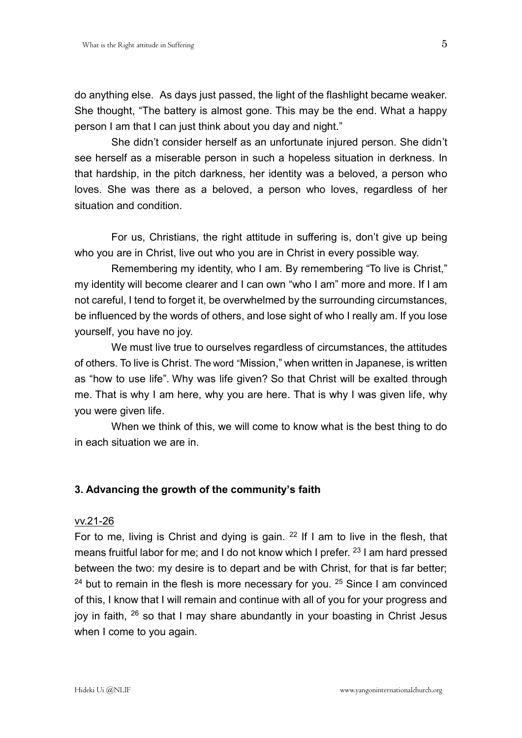do anything else. As days just passed, the light of the flashlight became weaker. She thought, "The battery is almost gone. This may be the end. What a happy person I am that I can just think about you day and night."

She didn't consider herself as an unfortunate injured person. She didn't see herself as a miserable person in such a hopeless situation in derkness. In that hardship, in the pitch darkness, her identity was a beloved, a person who loves. She was there as a beloved, a person who loves, regardless of her situation and condition.

For us, Christians, the right attitude in suffering is, don't give up being who you are in Christ, live out who you are in Christ in every possible way.

Remembering my identity, who I am. By remembering "To live is Christ," my identity will become clearer and I can own "who I am" more and more. If I am not careful, I tend to forget it, be overwhelmed by the surrounding circumstances, be influenced by the words of others, and lose sight of who I really am. If you lose yourself, you have no joy.

We must live true to ourselves regardless of circumstances, the attitudes of others. To live is Christ. The word "Mission," when written in Japanese, is written as "how to use life". Why was life given? So that Christ will be exalted through me. That is why I am here, why you are here. That is why I was given life, why you were given life.

When we think of this, we will come to know what is the best thing to do in each situation we are in.

### **3. Advancing the growth of the community's faith**

#### vv.21-26

For to me, living is Christ and dying is gain.  $22$  If I am to live in the flesh, that means fruitful labor for me; and I do not know which I prefer. <sup>23</sup> I am hard pressed between the two: my desire is to depart and be with Christ, for that is far better; <sup>24</sup> but to remain in the flesh is more necessary for you. <sup>25</sup> Since I am convinced of this, I know that I will remain and continue with all of you for your progress and joy in faith, <sup>26</sup> so that I may share abundantly in your boasting in Christ Jesus when I come to you again.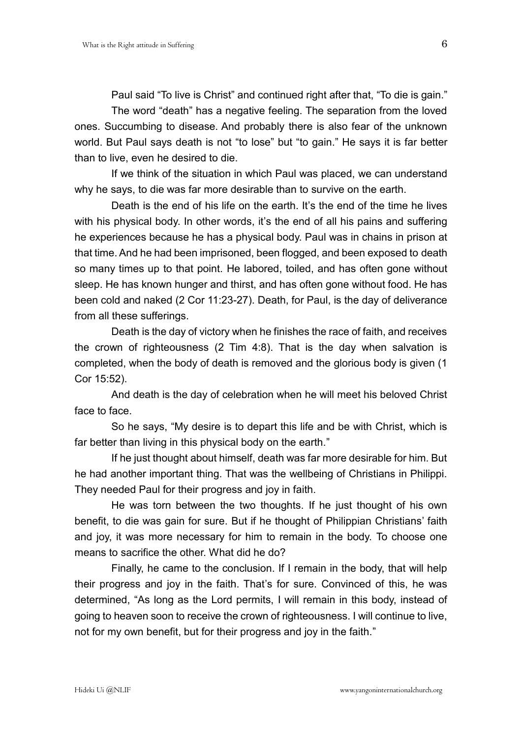Paul said "To live is Christ" and continued right after that, "To die is gain."

The word "death" has a negative feeling. The separation from the loved ones. Succumbing to disease. And probably there is also fear of the unknown world. But Paul says death is not "to lose" but "to gain." He says it is far better than to live, even he desired to die.

If we think of the situation in which Paul was placed, we can understand why he says, to die was far more desirable than to survive on the earth.

Death is the end of his life on the earth. It's the end of the time he lives with his physical body. In other words, it's the end of all his pains and suffering he experiences because he has a physical body. Paul was in chains in prison at that time. And he had been imprisoned, been flogged, and been exposed to death so many times up to that point. He labored, toiled, and has often gone without sleep. He has known hunger and thirst, and has often gone without food. He has been cold and naked (2 Cor 11:23-27). Death, for Paul, is the day of deliverance from all these sufferings.

Death is the day of victory when he finishes the race of faith, and receives the crown of righteousness (2 Tim 4:8). That is the day when salvation is completed, when the body of death is removed and the glorious body is given (1 Cor 15:52).

And death is the day of celebration when he will meet his beloved Christ face to face.

So he says, "My desire is to depart this life and be with Christ, which is far better than living in this physical body on the earth."

If he just thought about himself, death was far more desirable for him. But he had another important thing. That was the wellbeing of Christians in Philippi. They needed Paul for their progress and joy in faith.

He was torn between the two thoughts. If he just thought of his own benefit, to die was gain for sure. But if he thought of Philippian Christians' faith and joy, it was more necessary for him to remain in the body. To choose one means to sacrifice the other. What did he do?

Finally, he came to the conclusion. If I remain in the body, that will help their progress and joy in the faith. That's for sure. Convinced of this, he was determined, "As long as the Lord permits, I will remain in this body, instead of going to heaven soon to receive the crown of righteousness. I will continue to live, not for my own benefit, but for their progress and joy in the faith."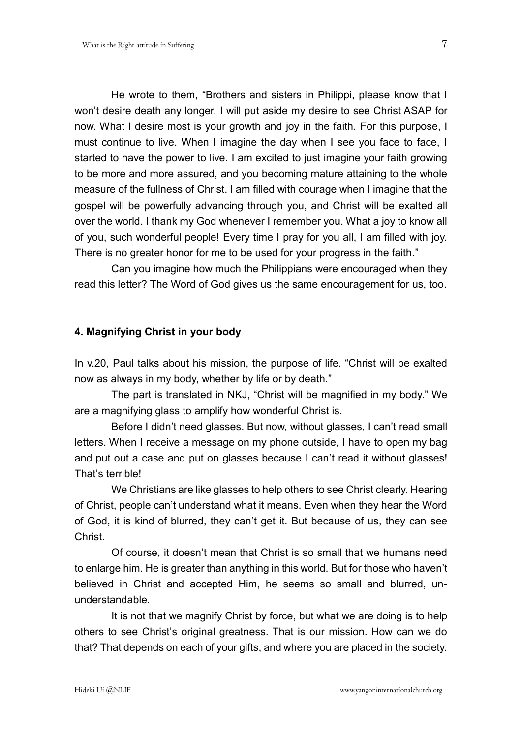He wrote to them, "Brothers and sisters in Philippi, please know that I won't desire death any longer. I will put aside my desire to see Christ ASAP for now. What I desire most is your growth and joy in the faith. For this purpose, I must continue to live. When I imagine the day when I see you face to face, I started to have the power to live. I am excited to just imagine your faith growing to be more and more assured, and you becoming mature attaining to the whole measure of the fullness of Christ. I am filled with courage when I imagine that the gospel will be powerfully advancing through you, and Christ will be exalted all over the world. I thank my God whenever I remember you. What a joy to know all of you, such wonderful people! Every time I pray for you all, I am filled with joy. There is no greater honor for me to be used for your progress in the faith."

Can you imagine how much the Philippians were encouraged when they read this letter? The Word of God gives us the same encouragement for us, too.

## **4. Magnifying Christ in your body**

In v.20, Paul talks about his mission, the purpose of life. "Christ will be exalted now as always in my body, whether by life or by death."

The part is translated in NKJ, "Christ will be magnified in my body." We are a magnifying glass to amplify how wonderful Christ is.

Before I didn't need glasses. But now, without glasses, I can't read small letters. When I receive a message on my phone outside, I have to open my bag and put out a case and put on glasses because I can't read it without glasses! That's terrible!

We Christians are like glasses to help others to see Christ clearly. Hearing of Christ, people can't understand what it means. Even when they hear the Word of God, it is kind of blurred, they can't get it. But because of us, they can see Christ.

Of course, it doesn't mean that Christ is so small that we humans need to enlarge him. He is greater than anything in this world. But for those who haven't believed in Christ and accepted Him, he seems so small and blurred, ununderstandable.

It is not that we magnify Christ by force, but what we are doing is to help others to see Christ's original greatness. That is our mission. How can we do that? That depends on each of your gifts, and where you are placed in the society.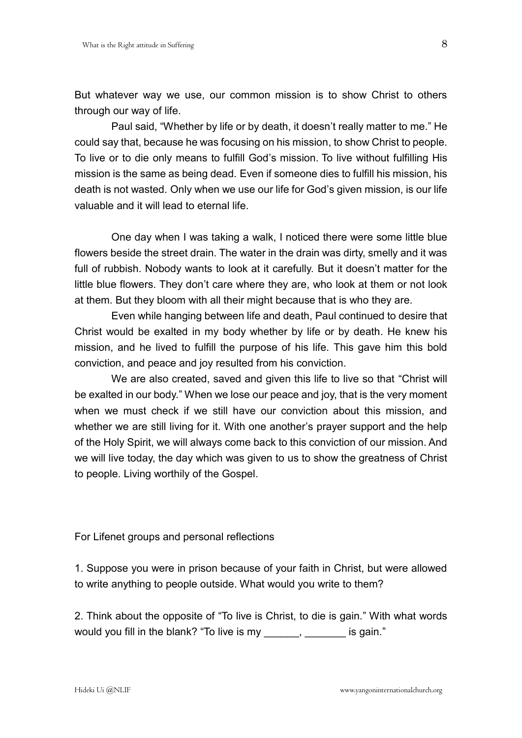But whatever way we use, our common mission is to show Christ to others through our way of life.

Paul said, "Whether by life or by death, it doesn't really matter to me." He could say that, because he was focusing on his mission, to show Christ to people. To live or to die only means to fulfill God's mission. To live without fulfilling His mission is the same as being dead. Even if someone dies to fulfill his mission, his death is not wasted. Only when we use our life for God's given mission, is our life valuable and it will lead to eternal life.

One day when I was taking a walk, I noticed there were some little blue flowers beside the street drain. The water in the drain was dirty, smelly and it was full of rubbish. Nobody wants to look at it carefully. But it doesn't matter for the little blue flowers. They don't care where they are, who look at them or not look at them. But they bloom with all their might because that is who they are.

Even while hanging between life and death, Paul continued to desire that Christ would be exalted in my body whether by life or by death. He knew his mission, and he lived to fulfill the purpose of his life. This gave him this bold conviction, and peace and joy resulted from his conviction.

We are also created, saved and given this life to live so that "Christ will be exalted in our body." When we lose our peace and joy, that is the very moment when we must check if we still have our conviction about this mission, and whether we are still living for it. With one another's prayer support and the help of the Holy Spirit, we will always come back to this conviction of our mission. And we will live today, the day which was given to us to show the greatness of Christ to people. Living worthily of the Gospel.

For Lifenet groups and personal reflections

1. Suppose you were in prison because of your faith in Christ, but were allowed to write anything to people outside. What would you write to them?

2. Think about the opposite of "To live is Christ, to die is gain." With what words would you fill in the blank? "To live is my \_\_\_\_\_\_, \_\_\_\_\_\_\_ is gain."